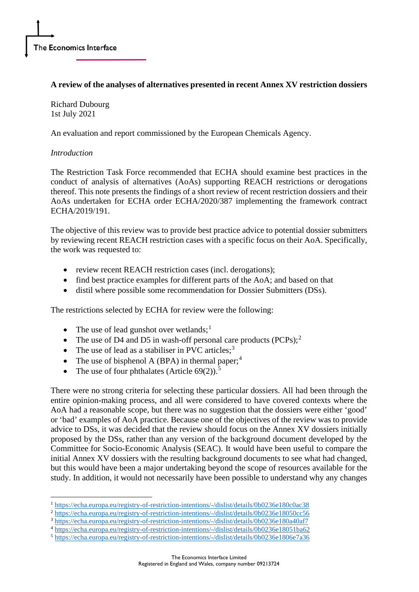## **A review of the analyses of alternatives presented in recent Annex XV restriction dossiers**

Richard Dubourg 1st July 2021

An evaluation and report commissioned by the European Chemicals Agency.

### *Introduction*

The Restriction Task Force recommended that ECHA should examine best practices in the conduct of analysis of alternatives (AoAs) supporting REACH restrictions or derogations thereof. This note presents the findings of a short review of recent restriction dossiers and their AoAs undertaken for ECHA order ECHA/2020/387 implementing the framework contract ECHA/2019/191.

The objective of this review was to provide best practice advice to potential dossier submitters by reviewing recent REACH restriction cases with a specific focus on their AoA. Specifically, the work was requested to:

- review recent REACH restriction cases (incl. derogations);
- find best practice examples for different parts of the AoA; and based on that
- distil where possible some recommendation for Dossier Submitters (DSs).

The restrictions selected by ECHA for review were the following:

- The use of lead gunshot over wetlands;<sup>[1](#page-0-0)</sup>
- The use of D4 and D5 in wash-off personal care products  $(PCPs)$ ;<sup>[2](#page-0-1)</sup>
- The use of lead as a stabiliser in PVC articles;<sup>[3](#page-0-2)</sup>
- The use of bisphenol A (BPA) in thermal paper;<sup>[4](#page-0-3)</sup>
- The use of four phthalates (Article  $69(2)$ ).<sup>[5](#page-0-4)</sup>

There were no strong criteria for selecting these particular dossiers. All had been through the entire opinion-making process, and all were considered to have covered contexts where the AoA had a reasonable scope, but there was no suggestion that the dossiers were either 'good' or 'bad' examples of AoA practice. Because one of the objectives of the review was to provide advice to DSs, it was decided that the review should focus on the Annex XV dossiers initially proposed by the DSs, rather than any version of the background document developed by the Committee for Socio-Economic Analysis (SEAC). It would have been useful to compare the initial Annex XV dossiers with the resulting background documents to see what had changed, but this would have been a major undertaking beyond the scope of resources available for the study. In addition, it would not necessarily have been possible to understand why any changes

<span id="page-0-3"></span><sup>4</sup> <https://echa.europa.eu/registry-of-restriction-intentions/-/dislist/details/0b0236e18051ba62>

<sup>1</sup> <https://echa.europa.eu/registry-of-restriction-intentions/-/dislist/details/0b0236e180c0ac38>

<span id="page-0-1"></span><span id="page-0-0"></span><sup>&</sup>lt;sup>2</sup> <https://echa.europa.eu/registry-of-restriction-intentions/-/dislist/details/0b0236e18050cc56>

<span id="page-0-2"></span><sup>3</sup> <https://echa.europa.eu/registry-of-restriction-intentions/-/dislist/details/0b0236e180a40af7>

<span id="page-0-4"></span><sup>5</sup> <https://echa.europa.eu/registry-of-restriction-intentions/-/dislist/details/0b0236e1806e7a36>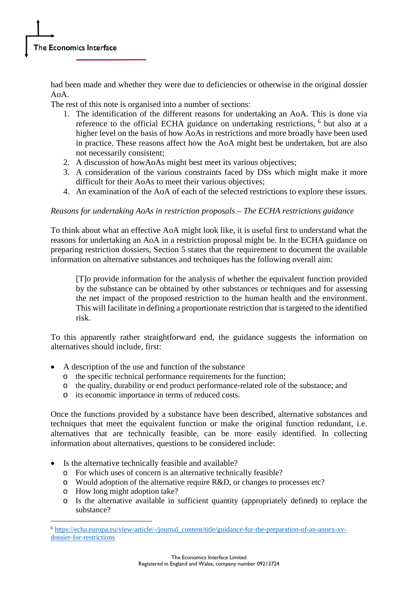had been made and whether they were due to deficiencies or otherwise in the original dossier AoA.

The rest of this note is organised into a number of sections:

- 1. The identification of the different reasons for undertaking an AoA. This is done via reference to the official ECHA guidance on undertaking restrictions, <sup>[6](#page-1-0)</sup> but also at a higher level on the basis of how AoAs in restrictions and more broadly have been used in practice. These reasons affect how the AoA might best be undertaken, but are also not necessarily consistent;
- 2. A discussion of howAoAs might best meet its various objectives;
- 3. A consideration of the various constraints faced by DSs which might make it more difficult for their AoAs to meet their various objectives;
- 4. An examination of the AoA of each of the selected restrictions to explore these issues.

## *Reasons for undertaking AoAs in restriction proposals – The ECHA restrictions guidance*

To think about what an effective AoA might look like, it is useful first to understand what the reasons for undertaking an AoA in a restriction proposal might be. In the ECHA guidance on preparing restriction dossiers, Section 5 states that the requirement to document the available information on alternative substances and techniques has the following overall aim:

[T]o provide information for the analysis of whether the equivalent function provided by the substance can be obtained by other substances or techniques and for assessing the net impact of the proposed restriction to the human health and the environment. This will facilitate in defining a proportionate restriction that is targeted to the identified risk.

To this apparently rather straightforward end, the guidance suggests the information on alternatives should include, first:

- A description of the use and function of the substance
	- o the specific technical performance requirements for the function;
	- o the quality, durability or end product performance-related role of the substance; and
	- o its economic importance in terms of reduced costs.

Once the functions provided by a substance have been described, alternative substances and techniques that meet the equivalent function or make the original function redundant, i.e. alternatives that are technically feasible, can be more easily identified. In collecting information about alternatives, questions to be considered include:

- Is the alternative technically feasible and available?
	- o For which uses of concern is an alternative technically feasible?
	- o Would adoption of the alternative require R&D, or changes to processes etc?
	- o How long might adoption take?
	- o Is the alternative available in sufficient quantity (appropriately defined) to replace the substance?

<span id="page-1-0"></span><sup>6</sup> [https://echa.europa.eu/view-article/-/journal\\_content/title/guidance-for-the-preparation-of-an-annex-xv](https://echa.europa.eu/view-article/-/journal_content/title/guidance-for-the-preparation-of-an-annex-xv-dossier-for-restrictions)[dossier-for-restrictions](https://echa.europa.eu/view-article/-/journal_content/title/guidance-for-the-preparation-of-an-annex-xv-dossier-for-restrictions)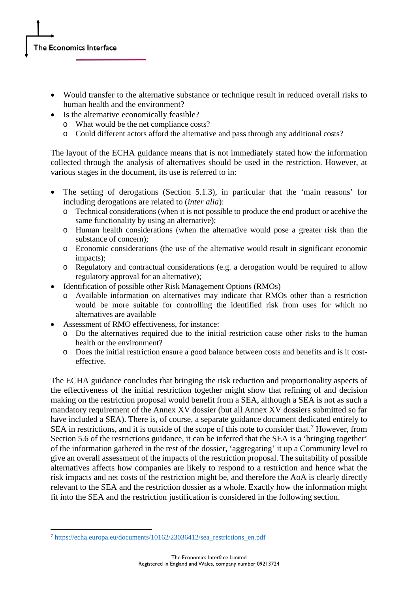- Would transfer to the alternative substance or technique result in reduced overall risks to human health and the environment?
- Is the alternative economically feasible?
	- o What would be the net compliance costs?
	- o Could different actors afford the alternative and pass through any additional costs?

The layout of the ECHA guidance means that is not immediately stated how the information collected through the analysis of alternatives should be used in the restriction. However, at various stages in the document, its use is referred to in:

- The setting of derogations (Section 5.1.3), in particular that the 'main reasons' for including derogations are related to (*inter alia*):
	- o Technical considerations (when it is not possible to produce the end product or acehive the same functionality by using an alternative);
	- o Human health considerations (when the alternative would pose a greater risk than the substance of concern);
	- o Economic considerations (the use of the alternative would result in significant economic impacts);
	- o Regulatory and contractual considerations (e.g. a derogation would be required to allow regulatory approval for an alternative);
- Identification of possible other Risk Management Options (RMOs)
	- o Available information on alternatives may indicate that RMOs other than a restriction would be more suitable for controlling the identified risk from uses for which no alternatives are available
- Assessment of RMO effectiveness, for instance:
	- o Do the alternatives required due to the initial restriction cause other risks to the human health or the environment?
	- o Does the initial restriction ensure a good balance between costs and benefits and is it costeffective.

The ECHA guidance concludes that bringing the risk reduction and proportionality aspects of the effectiveness of the initial restriction together might show that refining of and decision making on the restriction proposal would benefit from a SEA, although a SEA is not as such a mandatory requirement of the Annex XV dossier (but all Annex XV dossiers submitted so far have included a SEA). There is, of course, a separate guidance document dedicated entirely to SEA in restrictions, and it is outside of the scope of this note to consider that.<sup>[7](#page-2-0)</sup> However, from Section 5.6 of the restrictions guidance, it can be inferred that the SEA is a 'bringing together' of the information gathered in the rest of the dossier, 'aggregating' it up a Community level to give an overall assessment of the impacts of the restriction proposal. The suitability of possible alternatives affects how companies are likely to respond to a restriction and hence what the risk impacts and net costs of the restriction might be, and therefore the AoA is clearly directly relevant to the SEA and the restriction dossier as a whole. Exactly how the information might fit into the SEA and the restriction justification is considered in the following section.

<span id="page-2-0"></span><sup>7</sup> [https://echa.europa.eu/documents/10162/23036412/sea\\_restrictions\\_en.pdf](https://echa.europa.eu/documents/10162/23036412/sea_restrictions_en.pdf)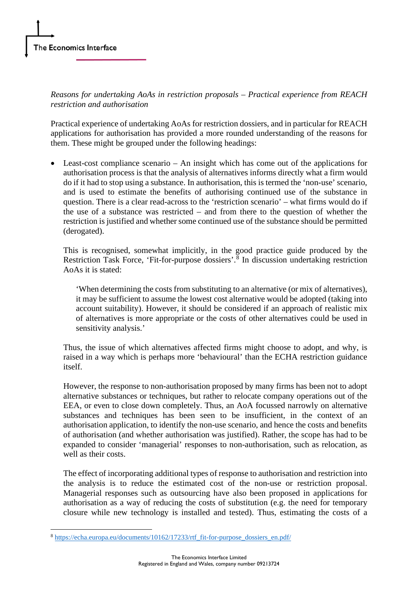*Reasons for undertaking AoAs in restriction proposals – Practical experience from REACH restriction and authorisation*

Practical experience of undertaking AoAs for restriction dossiers, and in particular for REACH applications for authorisation has provided a more rounded understanding of the reasons for them. These might be grouped under the following headings:

• Least-cost compliance scenario – An insight which has come out of the applications for authorisation process is that the analysis of alternatives informs directly what a firm would do if it had to stop using a substance. In authorisation, this is termed the 'non-use' scenario, and is used to estimate the benefits of authorising continued use of the substance in question. There is a clear read-across to the 'restriction scenario' – what firms would do if the use of a substance was restricted – and from there to the question of whether the restriction is justified and whether some continued use of the substance should be permitted (derogated).

This is recognised, somewhat implicitly, in the good practice guide produced by the Restriction Task Force, 'Fit-for-purpose dossiers'.<sup>[8](#page-3-0)</sup> In discussion undertaking restriction AoAs it is stated:

'When determining the costs from substituting to an alternative (or mix of alternatives), it may be sufficient to assume the lowest cost alternative would be adopted (taking into account suitability). However, it should be considered if an approach of realistic mix of alternatives is more appropriate or the costs of other alternatives could be used in sensitivity analysis.'

Thus, the issue of which alternatives affected firms might choose to adopt, and why, is raised in a way which is perhaps more 'behavioural' than the ECHA restriction guidance itself.

However, the response to non-authorisation proposed by many firms has been not to adopt alternative substances or techniques, but rather to relocate company operations out of the EEA, or even to close down completely. Thus, an AoA focussed narrowly on alternative substances and techniques has been seen to be insufficient, in the context of an authorisation application, to identify the non-use scenario, and hence the costs and benefits of authorisation (and whether authorisation was justified). Rather, the scope has had to be expanded to consider 'managerial' responses to non-authorisation, such as relocation, as well as their costs.

The effect of incorporating additional types of response to authorisation and restriction into the analysis is to reduce the estimated cost of the non-use or restriction proposal. Managerial responses such as outsourcing have also been proposed in applications for authorisation as a way of reducing the costs of substitution (e.g. the need for temporary closure while new technology is installed and tested). Thus, estimating the costs of a

<span id="page-3-0"></span><sup>8</sup> [https://echa.europa.eu/documents/10162/17233/rtf\\_fit-for-purpose\\_dossiers\\_en.pdf/](https://echa.europa.eu/documents/10162/17233/rtf_fit-for-purpose_dossiers_en.pdf/)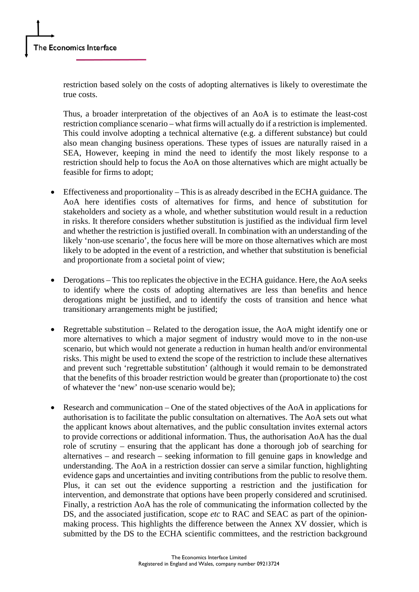restriction based solely on the costs of adopting alternatives is likely to overestimate the true costs.

Thus, a broader interpretation of the objectives of an AoA is to estimate the least-cost restriction compliance scenario – what firms will actually do if a restriction is implemented. This could involve adopting a technical alternative (e.g. a different substance) but could also mean changing business operations. These types of issues are naturally raised in a SEA, However, keeping in mind the need to identify the most likely response to a restriction should help to focus the AoA on those alternatives which are might actually be feasible for firms to adopt;

- Effectiveness and proportionality This is as already described in the ECHA guidance. The AoA here identifies costs of alternatives for firms, and hence of substitution for stakeholders and society as a whole, and whether substitution would result in a reduction in risks. It therefore considers whether substitution is justified as the individual firm level and whether the restriction is justified overall. In combination with an understanding of the likely 'non-use scenario', the focus here will be more on those alternatives which are most likely to be adopted in the event of a restriction, and whether that substitution is beneficial and proportionate from a societal point of view;
- Derogations This too replicates the objective in the ECHA guidance. Here, the AoA seeks to identify where the costs of adopting alternatives are less than benefits and hence derogations might be justified, and to identify the costs of transition and hence what transitionary arrangements might be justified;
- Regrettable substitution Related to the derogation issue, the AoA might identify one or more alternatives to which a major segment of industry would move to in the non-use scenario, but which would not generate a reduction in human health and/or environmental risks. This might be used to extend the scope of the restriction to include these alternatives and prevent such 'regrettable substitution' (although it would remain to be demonstrated that the benefits of this broader restriction would be greater than (proportionate to) the cost of whatever the 'new' non-use scenario would be);
- Research and communication One of the stated objectives of the AoA in applications for authorisation is to facilitate the public consultation on alternatives. The AoA sets out what the applicant knows about alternatives, and the public consultation invites external actors to provide corrections or additional information. Thus, the authorisation AoA has the dual role of scrutiny – ensuring that the applicant has done a thorough job of searching for alternatives – and research – seeking information to fill genuine gaps in knowledge and understanding. The AoA in a restriction dossier can serve a similar function, highlighting evidence gaps and uncertainties and inviting contributions from the public to resolve them. Plus, it can set out the evidence supporting a restriction and the justification for intervention, and demonstrate that options have been properly considered and scrutinised. Finally, a restriction AoA has the role of communicating the information collected by the DS, and the associated justification, scope *etc* to RAC and SEAC as part of the opinionmaking process. This highlights the difference between the Annex XV dossier, which is submitted by the DS to the ECHA scientific committees, and the restriction background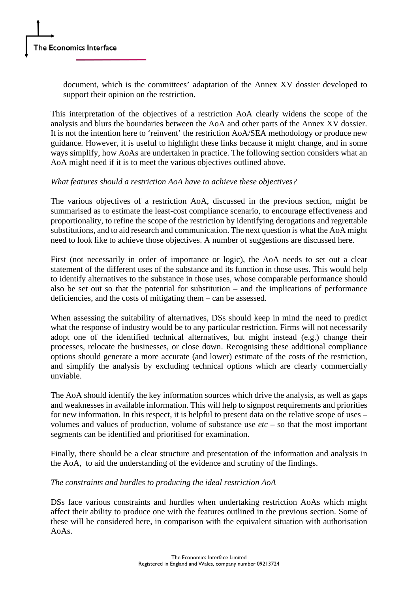document, which is the committees' adaptation of the Annex XV dossier developed to support their opinion on the restriction.

This interpretation of the objectives of a restriction AoA clearly widens the scope of the analysis and blurs the boundaries between the AoA and other parts of the Annex XV dossier. It is not the intention here to 'reinvent' the restriction AoA/SEA methodology or produce new guidance. However, it is useful to highlight these links because it might change, and in some ways simplify, how AoAs are undertaken in practice. The following section considers what an AoA might need if it is to meet the various objectives outlined above.

## *What features should a restriction AoA have to achieve these objectives?*

The various objectives of a restriction AoA, discussed in the previous section, might be summarised as to estimate the least-cost compliance scenario, to encourage effectiveness and proportionality, to refine the scope of the restriction by identifying derogations and regrettable substitutions, and to aid research and communication. The next question is what the AoA might need to look like to achieve those objectives. A number of suggestions are discussed here.

First (not necessarily in order of importance or logic), the AoA needs to set out a clear statement of the different uses of the substance and its function in those uses. This would help to identify alternatives to the substance in those uses, whose comparable performance should also be set out so that the potential for substitution – and the implications of performance deficiencies, and the costs of mitigating them – can be assessed.

When assessing the suitability of alternatives, DSs should keep in mind the need to predict what the response of industry would be to any particular restriction. Firms will not necessarily adopt one of the identified technical alternatives, but might instead (e.g.) change their processes, relocate the businesses, or close down. Recognising these additional compliance options should generate a more accurate (and lower) estimate of the costs of the restriction, and simplify the analysis by excluding technical options which are clearly commercially unviable.

The AoA should identify the key information sources which drive the analysis, as well as gaps and weaknesses in available information. This will help to signpost requirements and priorities for new information. In this respect, it is helpful to present data on the relative scope of uses – volumes and values of production, volume of substance use *etc* – so that the most important segments can be identified and prioritised for examination.

Finally, there should be a clear structure and presentation of the information and analysis in the AoA, to aid the understanding of the evidence and scrutiny of the findings.

# *The constraints and hurdles to producing the ideal restriction AoA*

DSs face various constraints and hurdles when undertaking restriction AoAs which might affect their ability to produce one with the features outlined in the previous section. Some of these will be considered here, in comparison with the equivalent situation with authorisation AoAs.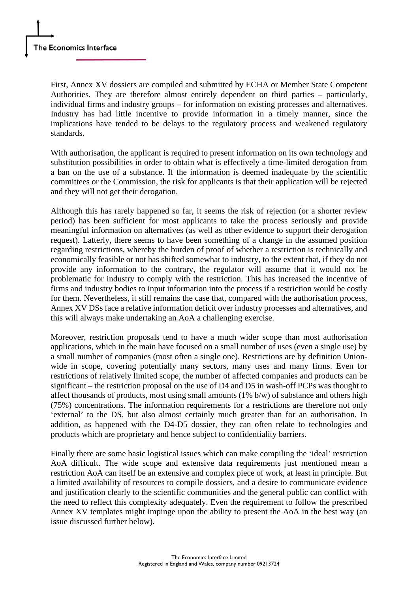First, Annex XV dossiers are compiled and submitted by ECHA or Member State Competent Authorities. They are therefore almost entirely dependent on third parties – particularly, individual firms and industry groups – for information on existing processes and alternatives. Industry has had little incentive to provide information in a timely manner, since the implications have tended to be delays to the regulatory process and weakened regulatory standards.

With authorisation, the applicant is required to present information on its own technology and substitution possibilities in order to obtain what is effectively a time-limited derogation from a ban on the use of a substance. If the information is deemed inadequate by the scientific committees or the Commission, the risk for applicants is that their application will be rejected and they will not get their derogation.

Although this has rarely happened so far, it seems the risk of rejection (or a shorter review period) has been sufficient for most applicants to take the process seriously and provide meaningful information on alternatives (as well as other evidence to support their derogation request). Latterly, there seems to have been something of a change in the assumed position regarding restrictions, whereby the burden of proof of whether a restriction is technically and economically feasible or not has shifted somewhat to industry, to the extent that, if they do not provide any information to the contrary, the regulator will assume that it would not be problematic for industry to comply with the restriction. This has increased the incentive of firms and industry bodies to input information into the process if a restriction would be costly for them. Nevertheless, it still remains the case that, compared with the authorisation process, Annex XV DSs face a relative information deficit over industry processes and alternatives, and this will always make undertaking an AoA a challenging exercise.

Moreover, restriction proposals tend to have a much wider scope than most authorisation applications, which in the main have focused on a small number of uses (even a single use) by a small number of companies (most often a single one). Restrictions are by definition Unionwide in scope, covering potentially many sectors, many uses and many firms. Even for restrictions of relatively limited scope, the number of affected companies and products can be significant – the restriction proposal on the use of D4 and D5 in wash-off PCPs was thought to affect thousands of products, most using small amounts (1% b/w) of substance and others high (75%) concentrations. The information requirements for a restrictions are therefore not only 'external' to the DS, but also almost certainly much greater than for an authorisation. In addition, as happened with the D4-D5 dossier, they can often relate to technologies and products which are proprietary and hence subject to confidentiality barriers.

Finally there are some basic logistical issues which can make compiling the 'ideal' restriction AoA difficult. The wide scope and extensive data requirements just mentioned mean a restriction AoA can itself be an extensive and complex piece of work, at least in principle. But a limited availability of resources to compile dossiers, and a desire to communicate evidence and justification clearly to the scientific communities and the general public can conflict with the need to reflect this complexity adequately. Even the requirement to follow the prescribed Annex XV templates might impinge upon the ability to present the AoA in the best way (an issue discussed further below).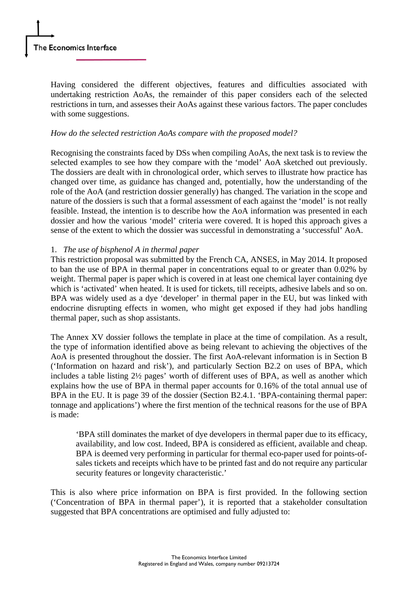Having considered the different objectives, features and difficulties associated with undertaking restriction AoAs, the remainder of this paper considers each of the selected restrictions in turn, and assesses their AoAs against these various factors. The paper concludes with some suggestions.

### *How do the selected restriction AoAs compare with the proposed model?*

Recognising the constraints faced by DSs when compiling AoAs, the next task is to review the selected examples to see how they compare with the 'model' AoA sketched out previously. The dossiers are dealt with in chronological order, which serves to illustrate how practice has changed over time, as guidance has changed and, potentially, how the understanding of the role of the AoA (and restriction dossier generally) has changed. The variation in the scope and nature of the dossiers is such that a formal assessment of each against the 'model' is not really feasible. Instead, the intention is to describe how the AoA information was presented in each dossier and how the various 'model' criteria were covered. It is hoped this approach gives a sense of the extent to which the dossier was successful in demonstrating a 'successful' AoA.

## 1. *The use of bisphenol A in thermal paper*

This restriction proposal was submitted by the French CA, ANSES, in May 2014. It proposed to ban the use of BPA in thermal paper in concentrations equal to or greater than 0.02% by weight. Thermal paper is paper which is covered in at least one chemical layer containing dye which is 'activated' when heated. It is used for tickets, till receipts, adhesive labels and so on. BPA was widely used as a dye 'developer' in thermal paper in the EU, but was linked with endocrine disrupting effects in women, who might get exposed if they had jobs handling thermal paper, such as shop assistants.

The Annex XV dossier follows the template in place at the time of compilation. As a result, the type of information identified above as being relevant to achieving the objectives of the AoA is presented throughout the dossier. The first AoA-relevant information is in Section B ('Information on hazard and risk'), and particularly Section B2.2 on uses of BPA, which includes a table listing 2½ pages' worth of different uses of BPA, as well as another which explains how the use of BPA in thermal paper accounts for 0.16% of the total annual use of BPA in the EU. It is page 39 of the dossier (Section B2.4.1. 'BPA-containing thermal paper: tonnage and applications') where the first mention of the technical reasons for the use of BPA is made:

'BPA still dominates the market of dye developers in thermal paper due to its efficacy, availability, and low cost. Indeed, BPA is considered as efficient, available and cheap. BPA is deemed very performing in particular for thermal eco-paper used for points-ofsales tickets and receipts which have to be printed fast and do not require any particular security features or longevity characteristic.'

This is also where price information on BPA is first provided. In the following section ('Concentration of BPA in thermal paper'), it is reported that a stakeholder consultation suggested that BPA concentrations are optimised and fully adjusted to: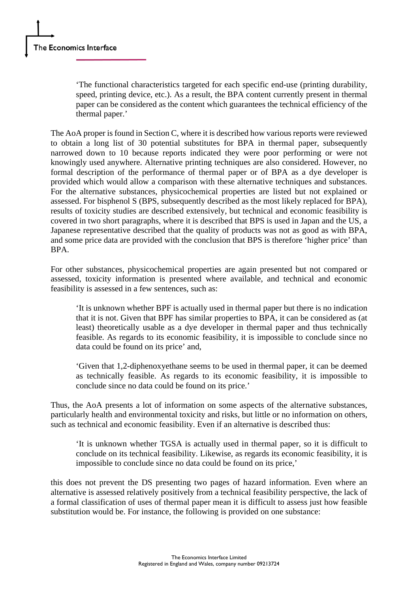'The functional characteristics targeted for each specific end-use (printing durability, speed, printing device, etc.). As a result, the BPA content currently present in thermal paper can be considered as the content which guarantees the technical efficiency of the thermal paper.'

The AoA proper is found in Section C, where it is described how various reports were reviewed to obtain a long list of 30 potential substitutes for BPA in thermal paper, subsequently narrowed down to 10 because reports indicated they were poor performing or were not knowingly used anywhere. Alternative printing techniques are also considered. However, no formal description of the performance of thermal paper or of BPA as a dye developer is provided which would allow a comparison with these alternative techniques and substances. For the alternative substances, physicochemical properties are listed but not explained or assessed. For bisphenol S (BPS, subsequently described as the most likely replaced for BPA), results of toxicity studies are described extensively, but technical and economic feasibility is covered in two short paragraphs, where it is described that BPS is used in Japan and the US, a Japanese representative described that the quality of products was not as good as with BPA, and some price data are provided with the conclusion that BPS is therefore 'higher price' than BPA.

For other substances, physicochemical properties are again presented but not compared or assessed, toxicity information is presented where available, and technical and economic feasibility is assessed in a few sentences, such as:

'It is unknown whether BPF is actually used in thermal paper but there is no indication that it is not. Given that BPF has similar properties to BPA, it can be considered as (at least) theoretically usable as a dye developer in thermal paper and thus technically feasible. As regards to its economic feasibility, it is impossible to conclude since no data could be found on its price' and,

'Given that 1,2-diphenoxyethane seems to be used in thermal paper, it can be deemed as technically feasible. As regards to its economic feasibility, it is impossible to conclude since no data could be found on its price.'

Thus, the AoA presents a lot of information on some aspects of the alternative substances, particularly health and environmental toxicity and risks, but little or no information on others, such as technical and economic feasibility. Even if an alternative is described thus:

'It is unknown whether TGSA is actually used in thermal paper, so it is difficult to conclude on its technical feasibility. Likewise, as regards its economic feasibility, it is impossible to conclude since no data could be found on its price,'

this does not prevent the DS presenting two pages of hazard information. Even where an alternative is assessed relatively positively from a technical feasibility perspective, the lack of a formal classification of uses of thermal paper mean it is difficult to assess just how feasible substitution would be. For instance, the following is provided on one substance: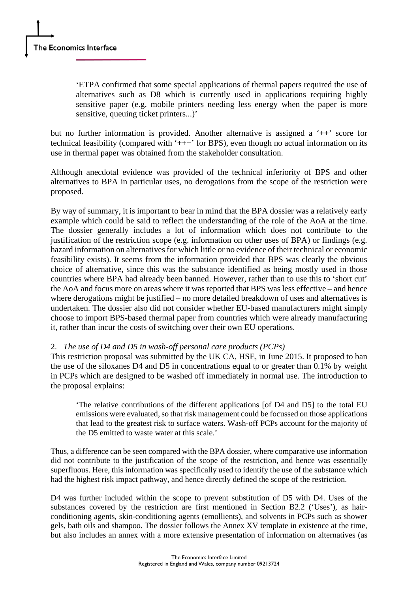'ETPA confirmed that some special applications of thermal papers required the use of alternatives such as D8 which is currently used in applications requiring highly sensitive paper (e.g. mobile printers needing less energy when the paper is more sensitive, queuing ticket printers...)'

but no further information is provided. Another alternative is assigned a '++' score for technical feasibility (compared with  $'++'$  for BPS), even though no actual information on its use in thermal paper was obtained from the stakeholder consultation.

Although anecdotal evidence was provided of the technical inferiority of BPS and other alternatives to BPA in particular uses, no derogations from the scope of the restriction were proposed.

By way of summary, it is important to bear in mind that the BPA dossier was a relatively early example which could be said to reflect the understanding of the role of the AoA at the time. The dossier generally includes a lot of information which does not contribute to the justification of the restriction scope (e.g. information on other uses of BPA) or findings (e.g. hazard information on alternatives for which little or no evidence of their technical or economic feasibility exists). It seems from the information provided that BPS was clearly the obvious choice of alternative, since this was the substance identified as being mostly used in those countries where BPA had already been banned. However, rather than to use this to 'short cut' the AoA and focus more on areas where it was reported that BPS was less effective – and hence where derogations might be justified – no more detailed breakdown of uses and alternatives is undertaken. The dossier also did not consider whether EU-based manufacturers might simply choose to import BPS-based thermal paper from countries which were already manufacturing it, rather than incur the costs of switching over their own EU operations.

### 2. *The use of D4 and D5 in wash-off personal care products (PCPs)*

This restriction proposal was submitted by the UK CA, HSE, in June 2015. It proposed to ban the use of the siloxanes D4 and D5 in concentrations equal to or greater than 0.1% by weight in PCPs which are designed to be washed off immediately in normal use. The introduction to the proposal explains:

'The relative contributions of the different applications [of D4 and D5] to the total EU emissions were evaluated, so that risk management could be focussed on those applications that lead to the greatest risk to surface waters. Wash-off PCPs account for the majority of the D5 emitted to waste water at this scale.'

Thus, a difference can be seen compared with the BPA dossier, where comparative use information did not contribute to the justification of the scope of the restriction, and hence was essentially superfluous. Here, this information was specifically used to identify the use of the substance which had the highest risk impact pathway, and hence directly defined the scope of the restriction.

D4 was further included within the scope to prevent substitution of D5 with D4. Uses of the substances covered by the restriction are first mentioned in Section B2.2 ('Uses'), as hairconditioning agents, skin-conditioning agents (emollients), and solvents in PCPs such as shower gels, bath oils and shampoo. The dossier follows the Annex XV template in existence at the time, but also includes an annex with a more extensive presentation of information on alternatives (as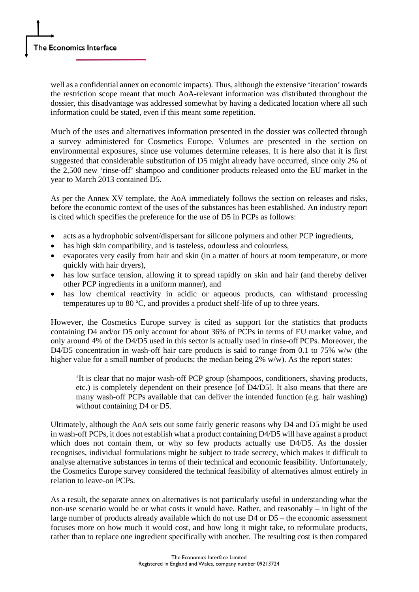well as a confidential annex on economic impacts). Thus, although the extensive 'iteration' towards the restriction scope meant that much AoA-relevant information was distributed throughout the dossier, this disadvantage was addressed somewhat by having a dedicated location where all such information could be stated, even if this meant some repetition.

Much of the uses and alternatives information presented in the dossier was collected through a survey administered for Cosmetics Europe. Volumes are presented in the section on environmental exposures, since use volumes determine releases. It is here also that it is first suggested that considerable substitution of D5 might already have occurred, since only 2% of the 2,500 new 'rinse-off' shampoo and conditioner products released onto the EU market in the year to March 2013 contained D5.

As per the Annex XV template, the AoA immediately follows the section on releases and risks, before the economic context of the uses of the substances has been established. An industry report is cited which specifies the preference for the use of D5 in PCPs as follows:

- acts as a hydrophobic solvent/dispersant for silicone polymers and other PCP ingredients,
- has high skin compatibility, and is tasteless, odourless and colourless,
- evaporates very easily from hair and skin (in a matter of hours at room temperature, or more quickly with hair dryers),
- has low surface tension, allowing it to spread rapidly on skin and hair (and thereby deliver other PCP ingredients in a uniform manner), and
- has low chemical reactivity in acidic or aqueous products, can withstand processing temperatures up to 80 ºC, and provides a product shelf-life of up to three years.

However, the Cosmetics Europe survey is cited as support for the statistics that products containing D4 and/or D5 only account for about 36% of PCPs in terms of EU market value, and only around 4% of the D4/D5 used in this sector is actually used in rinse-off PCPs. Moreover, the D4/D5 concentration in wash-off hair care products is said to range from 0.1 to 75% w/w (the higher value for a small number of products; the median being 2% w/w). As the report states:

'It is clear that no major wash-off PCP group (shampoos, conditioners, shaving products, etc.) is completely dependent on their presence [of D4/D5]. It also means that there are many wash-off PCPs available that can deliver the intended function (e.g. hair washing) without containing D4 or D5.

Ultimately, although the AoA sets out some fairly generic reasons why D4 and D5 might be used in wash-off PCPs, it does not establish what a product containing D4/D5 will have against a product which does not contain them, or why so few products actually use D4/D5. As the dossier recognises, individual formulations might be subject to trade secrecy, which makes it difficult to analyse alternative substances in terms of their technical and economic feasibility. Unfortunately, the Cosmetics Europe survey considered the technical feasibility of alternatives almost entirely in relation to leave-on PCPs.

As a result, the separate annex on alternatives is not particularly useful in understanding what the non-use scenario would be or what costs it would have. Rather, and reasonably – in light of the large number of products already available which do not use D4 or D5 – the economic assessment focuses more on how much it would cost, and how long it might take, to reformulate products, rather than to replace one ingredient specifically with another. The resulting cost is then compared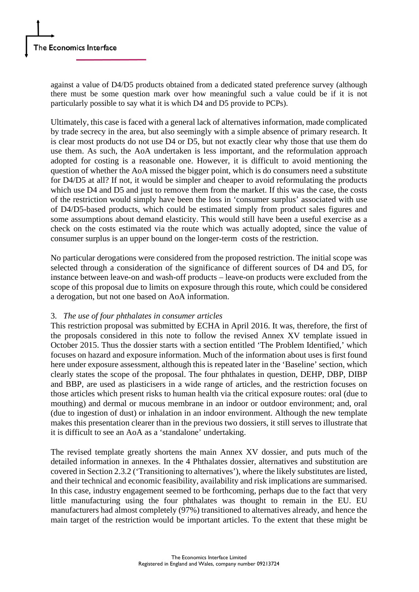against a value of D4/D5 products obtained from a dedicated stated preference survey (although there must be some question mark over how meaningful such a value could be if it is not particularly possible to say what it is which D4 and D5 provide to PCPs).

Ultimately, this case is faced with a general lack of alternatives information, made complicated by trade secrecy in the area, but also seemingly with a simple absence of primary research. It is clear most products do not use D4 or D5, but not exactly clear why those that use them do use them. As such, the AoA undertaken is less important, and the reformulation approach adopted for costing is a reasonable one. However, it is difficult to avoid mentioning the question of whether the AoA missed the bigger point, which is do consumers need a substitute for D4/D5 at all? If not, it would be simpler and cheaper to avoid reformulating the products which use D4 and D5 and just to remove them from the market. If this was the case, the costs of the restriction would simply have been the loss in 'consumer surplus' associated with use of D4/D5-based products, which could be estimated simply from product sales figures and some assumptions about demand elasticity. This would still have been a useful exercise as a check on the costs estimated via the route which was actually adopted, since the value of consumer surplus is an upper bound on the longer-term costs of the restriction.

No particular derogations were considered from the proposed restriction. The initial scope was selected through a consideration of the significance of different sources of D4 and D5, for instance between leave-on and wash-off products – leave-on products were excluded from the scope of this proposal due to limits on exposure through this route, which could be considered a derogation, but not one based on AoA information.

### 3. *The use of four phthalates in consumer articles*

This restriction proposal was submitted by ECHA in April 2016. It was, therefore, the first of the proposals considered in this note to follow the revised Annex XV template issued in October 2015. Thus the dossier starts with a section entitled 'The Problem Identified,' which focuses on hazard and exposure information. Much of the information about uses is first found here under exposure assessment, although this is repeated later in the 'Baseline' section, which clearly states the scope of the proposal. The four phthalates in question, DEHP, DBP, DIBP and BBP, are used as plasticisers in a wide range of articles, and the restriction focuses on those articles which present risks to human health via the critical exposure routes: oral (due to mouthing) and dermal or mucous membrane in an indoor or outdoor environment; and, oral (due to ingestion of dust) or inhalation in an indoor environment. Although the new template makes this presentation clearer than in the previous two dossiers, it still serves to illustrate that it is difficult to see an AoA as a 'standalone' undertaking.

The revised template greatly shortens the main Annex XV dossier, and puts much of the detailed information in annexes. In the 4 Phthalates dossier, alternatives and substitution are covered in Section 2.3.2 ('Transitioning to alternatives'), where the likely substitutes are listed, and their technical and economic feasibility, availability and risk implications are summarised. In this case, industry engagement seemed to be forthcoming, perhaps due to the fact that very little manufacturing using the four phthalates was thought to remain in the EU. EU manufacturers had almost completely (97%) transitioned to alternatives already, and hence the main target of the restriction would be important articles. To the extent that these might be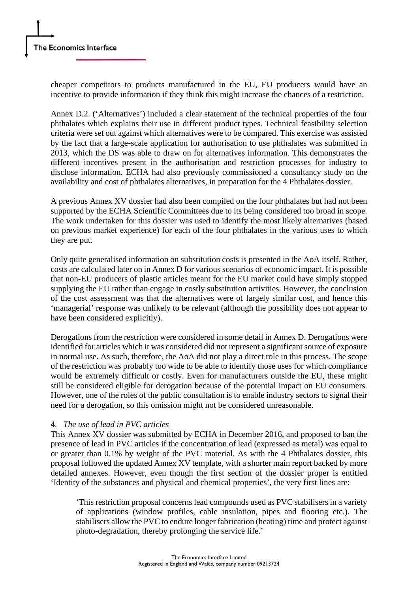cheaper competitors to products manufactured in the EU, EU producers would have an incentive to provide information if they think this might increase the chances of a restriction.

Annex D.2. ('Alternatives') included a clear statement of the technical properties of the four phthalates which explains their use in different product types. Technical feasibility selection criteria were set out against which alternatives were to be compared. This exercise was assisted by the fact that a large-scale application for authorisation to use phthalates was submitted in 2013, which the DS was able to draw on for alternatives information. This demonstrates the different incentives present in the authorisation and restriction processes for industry to disclose information. ECHA had also previously commissioned a consultancy study on the availability and cost of phthalates alternatives, in preparation for the 4 Phthalates dossier.

A previous Annex XV dossier had also been compiled on the four phthalates but had not been supported by the ECHA Scientific Committees due to its being considered too broad in scope. The work undertaken for this dossier was used to identify the most likely alternatives (based on previous market experience) for each of the four phthalates in the various uses to which they are put.

Only quite generalised information on substitution costs is presented in the AoA itself. Rather, costs are calculated later on in Annex D for various scenarios of economic impact. It is possible that non-EU producers of plastic articles meant for the EU market could have simply stopped supplying the EU rather than engage in costly substitution activities. However, the conclusion of the cost assessment was that the alternatives were of largely similar cost, and hence this 'managerial' response was unlikely to be relevant (although the possibility does not appear to have been considered explicitly).

Derogations from the restriction were considered in some detail in Annex D. Derogations were identified for articles which it was considered did not represent a significant source of exposure in normal use. As such, therefore, the AoA did not play a direct role in this process. The scope of the restriction was probably too wide to be able to identify those uses for which compliance would be extremely difficult or costly. Even for manufacturers outside the EU, these might still be considered eligible for derogation because of the potential impact on EU consumers. However, one of the roles of the public consultation is to enable industry sectors to signal their need for a derogation, so this omission might not be considered unreasonable.

### 4. *The use of lead in PVC articles*

This Annex XV dossier was submitted by ECHA in December 2016, and proposed to ban the presence of lead in PVC articles if the concentration of lead (expressed as metal) was equal to or greater than 0.1% by weight of the PVC material. As with the 4 Phthalates dossier, this proposal followed the updated Annex XV template, with a shorter main report backed by more detailed annexes. However, even though the first section of the dossier proper is entitled 'Identity of the substances and physical and chemical properties', the very first lines are:

'This restriction proposal concerns lead compounds used as PVC stabilisers in a variety of applications (window profiles, cable insulation, pipes and flooring etc.). The stabilisers allow the PVC to endure longer fabrication (heating) time and protect against photo-degradation, thereby prolonging the service life.'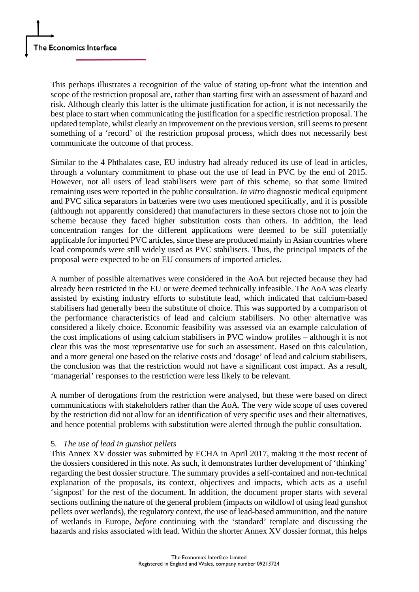This perhaps illustrates a recognition of the value of stating up-front what the intention and scope of the restriction proposal are, rather than starting first with an assessment of hazard and risk. Although clearly this latter is the ultimate justification for action, it is not necessarily the best place to start when communicating the justification for a specific restriction proposal. The updated template, whilst clearly an improvement on the previous version, still seems to present something of a 'record' of the restriction proposal process, which does not necessarily best communicate the outcome of that process.

Similar to the 4 Phthalates case, EU industry had already reduced its use of lead in articles, through a voluntary commitment to phase out the use of lead in PVC by the end of 2015. However, not all users of lead stabilisers were part of this scheme, so that some limited remaining uses were reported in the public consultation. *In vitro* diagnostic medical equipment and PVC silica separators in batteries were two uses mentioned specifically, and it is possible (although not apparently considered) that manufacturers in these sectors chose not to join the scheme because they faced higher substitution costs than others. In addition, the lead concentration ranges for the different applications were deemed to be still potentially applicable for imported PVC articles, since these are produced mainly in Asian countries where lead compounds were still widely used as PVC stabilisers. Thus, the principal impacts of the proposal were expected to be on EU consumers of imported articles.

A number of possible alternatives were considered in the AoA but rejected because they had already been restricted in the EU or were deemed technically infeasible. The AoA was clearly assisted by existing industry efforts to substitute lead, which indicated that calcium-based stabilisers had generally been the substitute of choice. This was supported by a comparison of the performance characteristics of lead and calcium stabilisers. No other alternative was considered a likely choice. Economic feasibility was assessed via an example calculation of the cost implications of using calcium stabilisers in PVC window profiles – although it is not clear this was the most representative use for such an assessment. Based on this calculation, and a more general one based on the relative costs and 'dosage' of lead and calcium stabilisers, the conclusion was that the restriction would not have a significant cost impact. As a result, 'managerial' responses to the restriction were less likely to be relevant.

A number of derogations from the restriction were analysed, but these were based on direct communications with stakeholders rather than the AoA. The very wide scope of uses covered by the restriction did not allow for an identification of very specific uses and their alternatives, and hence potential problems with substitution were alerted through the public consultation.

### 5. *The use of lead in gunshot pellets*

This Annex XV dossier was submitted by ECHA in April 2017, making it the most recent of the dossiers considered in this note. As such, it demonstrates further development of 'thinking' regarding the best dossier structure. The summary provides a self-contained and non-technical explanation of the proposals, its context, objectives and impacts, which acts as a useful 'signpost' for the rest of the document. In addition, the document proper starts with several sections outlining the nature of the general problem (impacts on wildfowl of using lead gunshot pellets over wetlands), the regulatory context, the use of lead-based ammunition, and the nature of wetlands in Europe, *before* continuing with the 'standard' template and discussing the hazards and risks associated with lead. Within the shorter Annex XV dossier format, this helps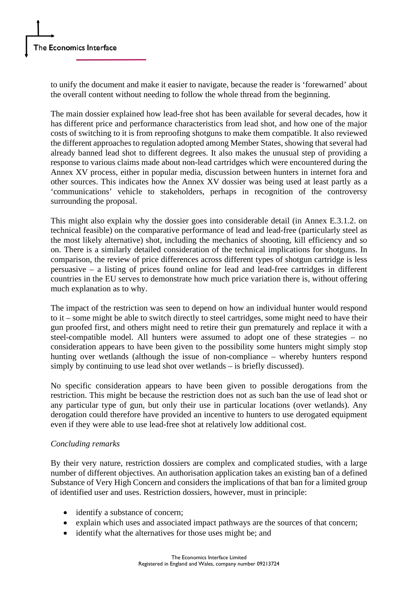to unify the document and make it easier to navigate, because the reader is 'forewarned' about the overall content without needing to follow the whole thread from the beginning.

The main dossier explained how lead-free shot has been available for several decades, how it has different price and performance characteristics from lead shot, and how one of the major costs of switching to it is from reproofing shotguns to make them compatible. It also reviewed the different approaches to regulation adopted among Member States, showing that several had already banned lead shot to different degrees. It also makes the unusual step of providing a response to various claims made about non-lead cartridges which were encountered during the Annex XV process, either in popular media, discussion between hunters in internet fora and other sources. This indicates how the Annex XV dossier was being used at least partly as a 'communications' vehicle to stakeholders, perhaps in recognition of the controversy surrounding the proposal.

This might also explain why the dossier goes into considerable detail (in Annex E.3.1.2. on technical feasible) on the comparative performance of lead and lead-free (particularly steel as the most likely alternative) shot, including the mechanics of shooting, kill efficiency and so on. There is a similarly detailed consideration of the technical implications for shotguns. In comparison, the review of price differences across different types of shotgun cartridge is less persuasive – a listing of prices found online for lead and lead-free cartridges in different countries in the EU serves to demonstrate how much price variation there is, without offering much explanation as to why.

The impact of the restriction was seen to depend on how an individual hunter would respond to it – some might be able to switch directly to steel cartridges, some might need to have their gun proofed first, and others might need to retire their gun prematurely and replace it with a steel-compatible model. All hunters were assumed to adopt one of these strategies – no consideration appears to have been given to the possibility some hunters might simply stop hunting over wetlands (although the issue of non-compliance – whereby hunters respond simply by continuing to use lead shot over wetlands – is briefly discussed).

No specific consideration appears to have been given to possible derogations from the restriction. This might be because the restriction does not as such ban the use of lead shot or any particular type of gun, but only their use in particular locations (over wetlands). Any derogation could therefore have provided an incentive to hunters to use derogated equipment even if they were able to use lead-free shot at relatively low additional cost.

### *Concluding remarks*

By their very nature, restriction dossiers are complex and complicated studies, with a large number of different objectives. An authorisation application takes an existing ban of a defined Substance of Very High Concern and considers the implications of that ban for a limited group of identified user and uses. Restriction dossiers, however, must in principle:

- identify a substance of concern;
- explain which uses and associated impact pathways are the sources of that concern;
- identify what the alternatives for those uses might be; and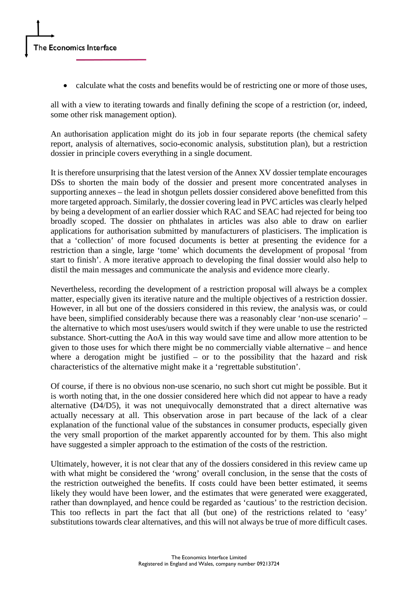• calculate what the costs and benefits would be of restricting one or more of those uses,

all with a view to iterating towards and finally defining the scope of a restriction (or, indeed, some other risk management option).

An authorisation application might do its job in four separate reports (the chemical safety report, analysis of alternatives, socio-economic analysis, substitution plan), but a restriction dossier in principle covers everything in a single document.

It is therefore unsurprising that the latest version of the Annex XV dossier template encourages DSs to shorten the main body of the dossier and present more concentrated analyses in supporting annexes – the lead in shotgun pellets dossier considered above benefitted from this more targeted approach. Similarly, the dossier covering lead in PVC articles was clearly helped by being a development of an earlier dossier which RAC and SEAC had rejected for being too broadly scoped. The dossier on phthalates in articles was also able to draw on earlier applications for authorisation submitted by manufacturers of plasticisers. The implication is that a 'collection' of more focused documents is better at presenting the evidence for a restriction than a single, large 'tome' which documents the development of proposal 'from start to finish'. A more iterative approach to developing the final dossier would also help to distil the main messages and communicate the analysis and evidence more clearly.

Nevertheless, recording the development of a restriction proposal will always be a complex matter, especially given its iterative nature and the multiple objectives of a restriction dossier. However, in all but one of the dossiers considered in this review, the analysis was, or could have been, simplified considerably because there was a reasonably clear 'non-use scenario' – the alternative to which most uses/users would switch if they were unable to use the restricted substance. Short-cutting the AoA in this way would save time and allow more attention to be given to those uses for which there might be no commercially viable alternative – and hence where a derogation might be justified – or to the possibility that the hazard and risk characteristics of the alternative might make it a 'regrettable substitution'.

Of course, if there is no obvious non-use scenario, no such short cut might be possible. But it is worth noting that, in the one dossier considered here which did not appear to have a ready alternative (D4/D5), it was not unequivocally demonstrated that a direct alternative was actually necessary at all. This observation arose in part because of the lack of a clear explanation of the functional value of the substances in consumer products, especially given the very small proportion of the market apparently accounted for by them. This also might have suggested a simpler approach to the estimation of the costs of the restriction.

Ultimately, however, it is not clear that any of the dossiers considered in this review came up with what might be considered the 'wrong' overall conclusion, in the sense that the costs of the restriction outweighed the benefits. If costs could have been better estimated, it seems likely they would have been lower, and the estimates that were generated were exaggerated, rather than downplayed, and hence could be regarded as 'cautious' to the restriction decision. This too reflects in part the fact that all (but one) of the restrictions related to 'easy' substitutions towards clear alternatives, and this will not always be true of more difficult cases.